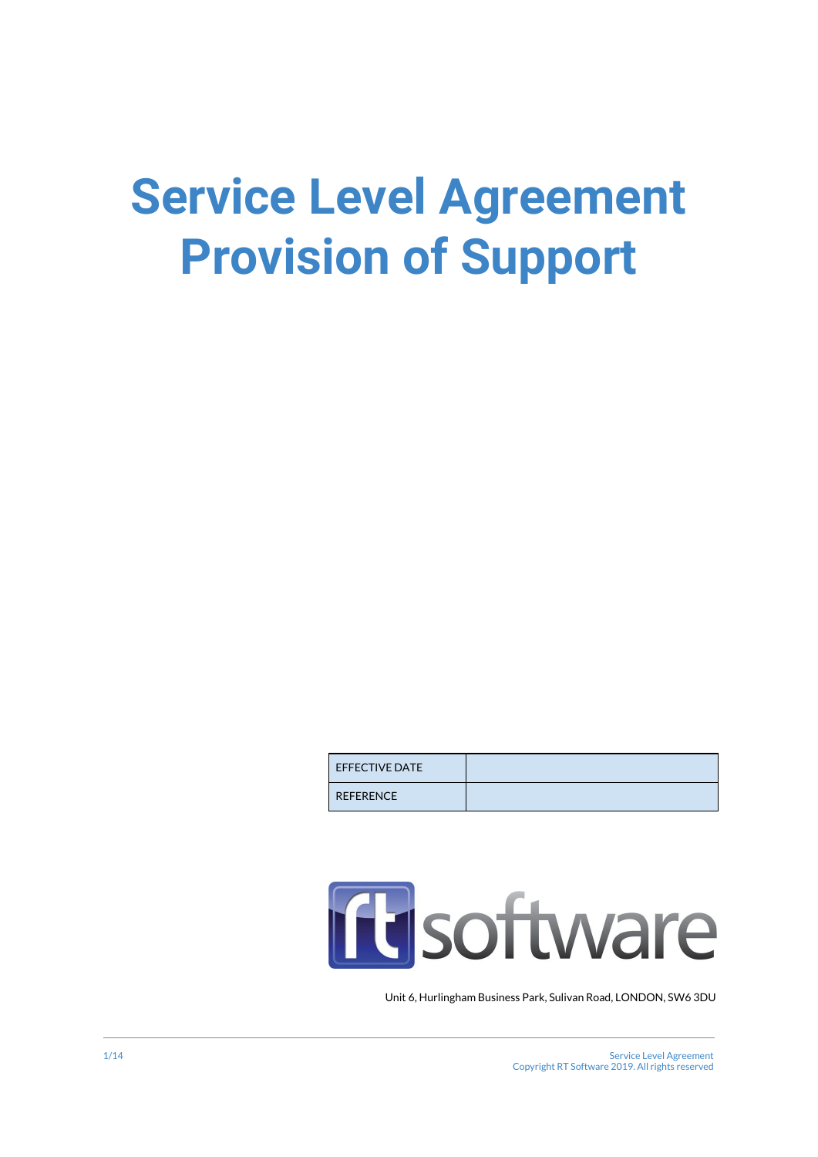# **Service Level Agreement Provision of Support**

| <b>EFFECTIVE DATE</b> |  |
|-----------------------|--|
| <b>REFERENCE</b>      |  |

# **ID** software

Unit 6, Hurlingham Business Park, Sulivan Road, LONDON, SW6 3DU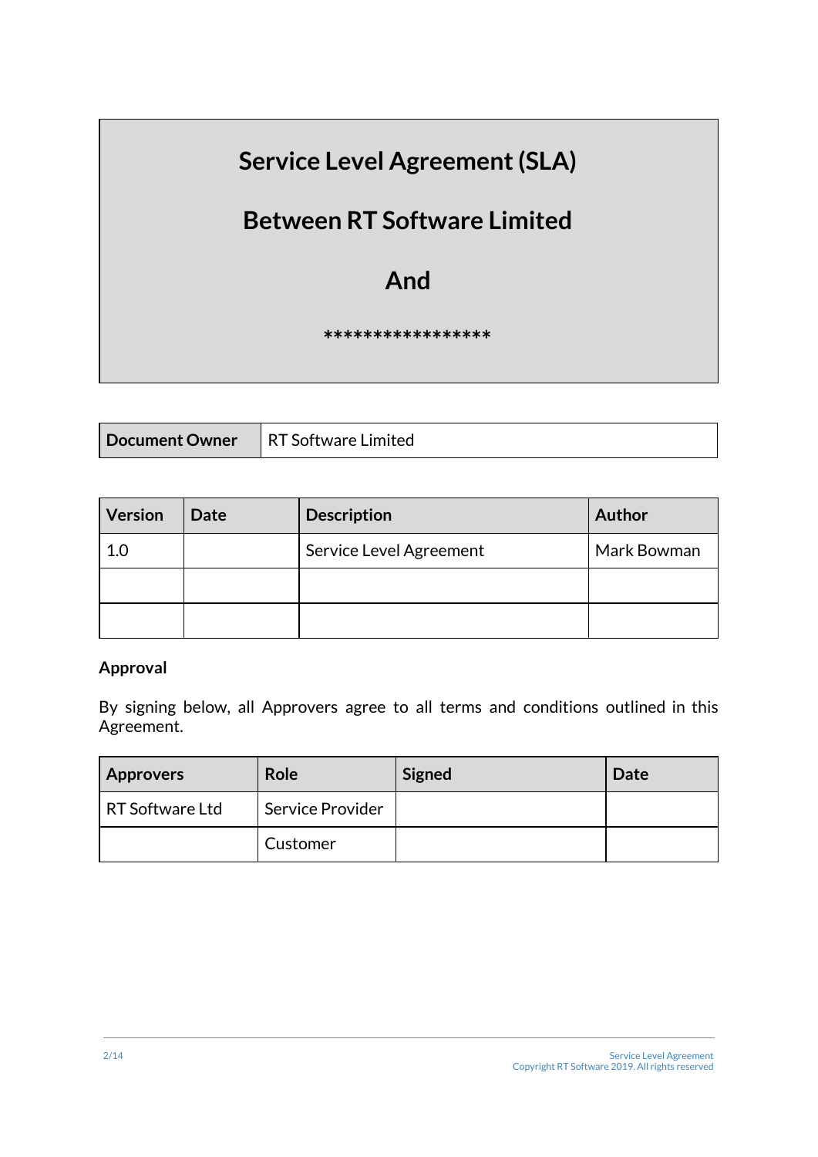# **Service Level Agreement(SLA)**

## **Between RT Software Limited**

### **And**

#### **\*\*\*\*\*\*\*\*\*\*\*\*\*\*\*\*\***

|  | Document Owner   RT Software Limited |
|--|--------------------------------------|
|--|--------------------------------------|

| <b>Version</b> | <b>Date</b> | <b>Description</b>      | <b>Author</b> |
|----------------|-------------|-------------------------|---------------|
| 1.0            |             | Service Level Agreement | Mark Bowman   |
|                |             |                         |               |
|                |             |                         |               |

#### **Approval**

By signing below, all Approvers agree to all terms and conditions outlined in this Agreement.

| <b>Approvers</b> | Role             | <b>Signed</b> | Date |
|------------------|------------------|---------------|------|
| RT Software Ltd  | Service Provider |               |      |
|                  | Customer         |               |      |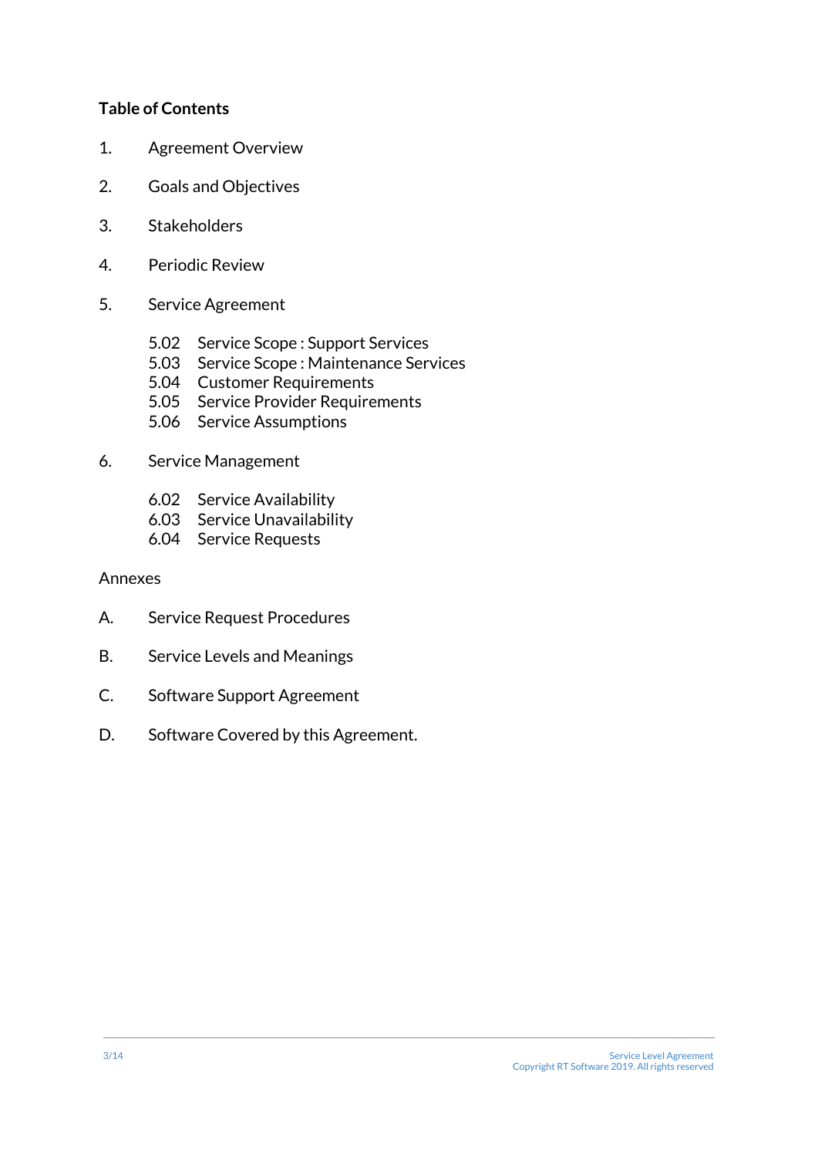#### **Table of Contents**

- 1. Agreement Overview
- 2. Goals and Objectives
- 3. Stakeholders
- 4. Periodic Review
- 5. Service Agreement
	- 5.02 Service Scope : Support Services
	- 5.03 Service Scope : Maintenance Services
	- 5.04 Customer Requirements
	- 5.05 Service Provider Requirements
	- 5.06 Service Assumptions

#### 6. Service Management

- 6.02 Service Availability
- 6.03 Service Unavailability
- 6.04 Service Requests

#### Annexes

- A. Service Request Procedures
- B. Service Levels and Meanings
- C. Software Support Agreement
- D. Software Covered by this Agreement.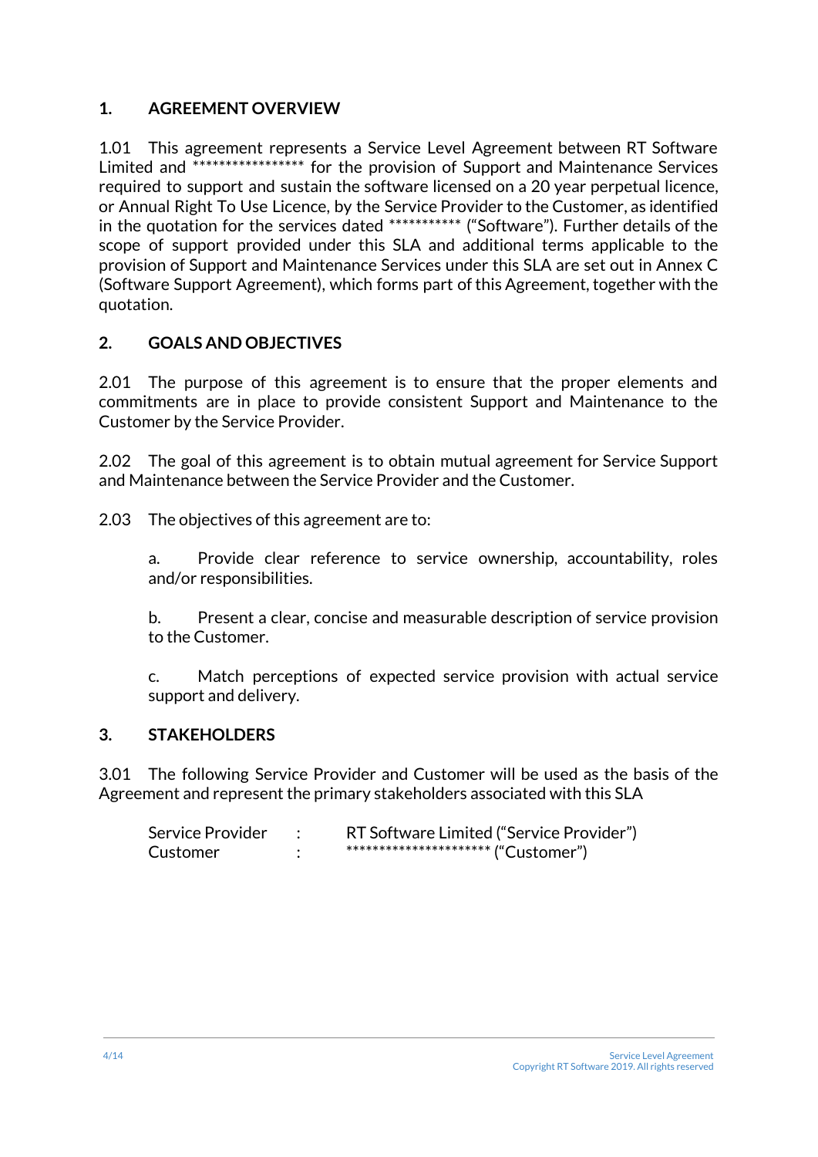#### **1. AGREEMENT OVERVIEW**

1.01 This agreement represents a Service Level Agreement between RT Software Limited and \*\*\*\*\*\*\*\*\*\*\*\*\*\*\*\*\*\* for the provision of Support and Maintenance Services required to support and sustain the software licensed on a 20 year perpetual licence, or Annual Right To Use Licence, by the Service Provider to the Customer, as identified in the quotation for the services dated \*\*\*\*\*\*\*\*\*\*\* ("Software"). Further details of the scope of support provided under this SLA and additional terms applicable to the provision of Support and Maintenance Services under this SLA are set out in Annex C (Software Support Agreement), which forms part of this Agreement, together with the quotation.

#### **2. GOALS AND OBJECTIVES**

2.01 The purpose of this agreement is to ensure that the proper elements and commitments are in place to provide consistent Support and Maintenance to the Customer by the Service Provider.

2.02 The goal of this agreement is to obtain mutual agreement for Service Support and Maintenance between the Service Provider and the Customer.

2.03 The objectives of this agreement are to:

a. Provide clear reference to service ownership, accountability, roles and/or responsibilities.

b. Present a clear, concise and measurable description of service provision to the Customer.

c. Match perceptions of expected service provision with actual service support and delivery.

#### **3. STAKEHOLDERS**

3.01 The following Service Provider and Customer will be used as the basis of the Agreement and represent the primary stakeholders associated with this SLA

| Service Provider | RT Software Limited ("Service Provider") |
|------------------|------------------------------------------|
| Customer         | *********************** ("Customer")     |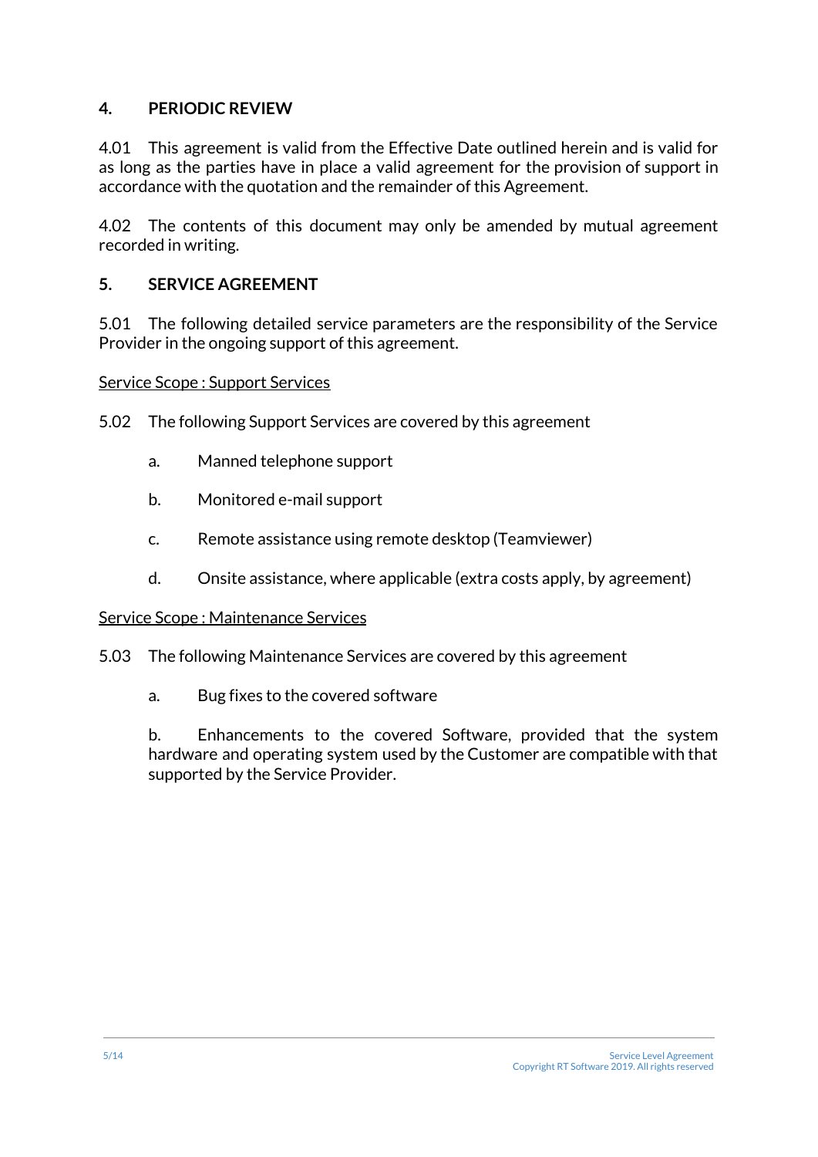#### **4. PERIODIC REVIEW**

4.01 This agreement is valid from the Effective Date outlined herein and is valid for as long as the parties have in place a valid agreement for the provision of support in accordance with the quotation and the remainder of this Agreement.

4.02 The contents of this document may only be amended by mutual agreement recorded in writing.

#### **5. SERVICE AGREEMENT**

5.01 The following detailed service parameters are the responsibility of the Service Provider in the ongoing support of this agreement.

Service Scope : Support Services

5.02 The following Support Services are covered by this agreement

- a. Manned telephone support
- b. Monitored e-mail support
- c. Remote assistance using remote desktop (Teamviewer)
- d. Onsite assistance, where applicable (extra costs apply, by agreement)

#### Service Scope : Maintenance Services

- 5.03 The following Maintenance Services are covered by this agreement
	- a. Bug fixes to the covered software

b. Enhancements to the covered Software, provided that the system hardware and operating system used by the Customer are compatible with that supported by the Service Provider.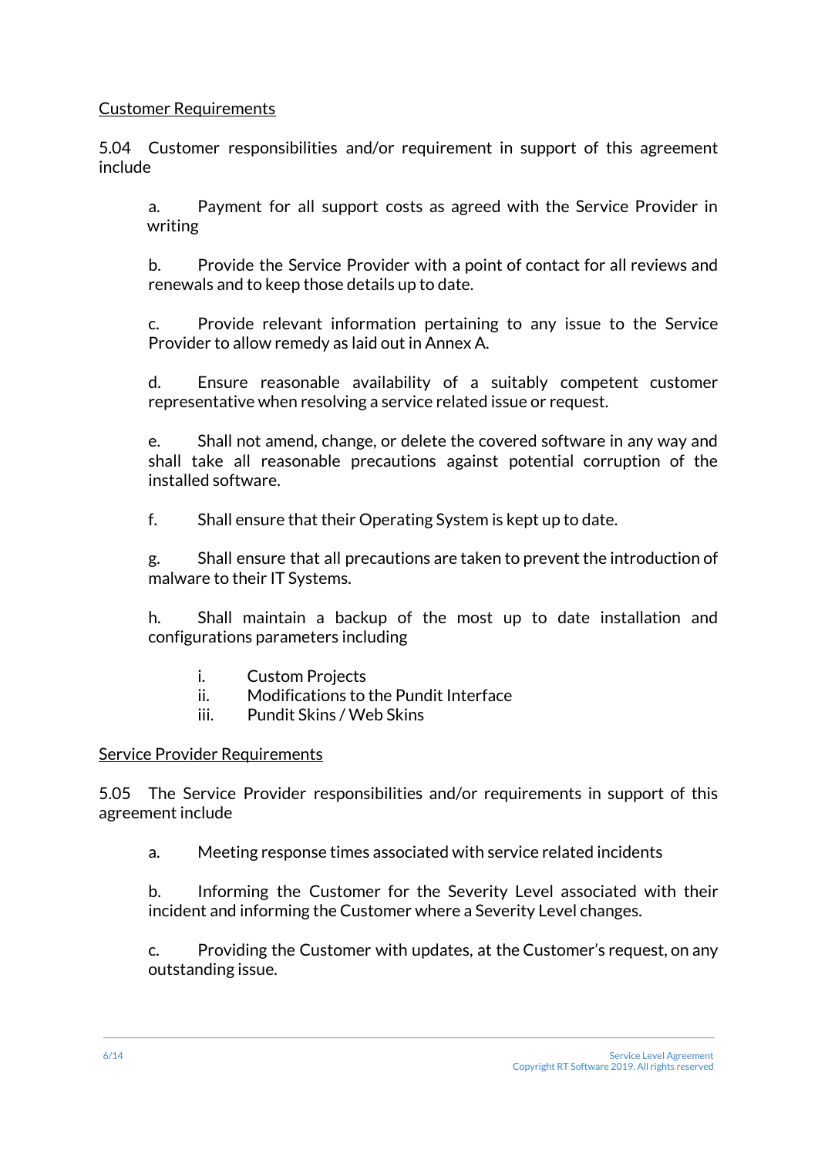#### Customer Requirements

5.04 Customer responsibilities and/or requirement in support of this agreement include

a. Payment for all support costs as agreed with the Service Provider in writing

b. Provide the Service Provider with a point of contact for all reviews and renewals and to keep those details up to date.

c. Provide relevant information pertaining to any issue to the Service Provider to allow remedy as laid out in Annex A.

d. Ensure reasonable availability of a suitably competent customer representative when resolving a service related issue or request.

e. Shall not amend, change, or delete the covered software in any way and shall take all reasonable precautions against potential corruption of the installed software.

f. Shall ensure that their Operating System is kept up to date.

g. Shall ensure that all precautions are taken to prevent the introduction of malware to their IT Systems.

h. Shall maintain a backup of the most up to date installation and configurations parameters including

- i. Custom Projects
- ii. Modifications to the Pundit Interface
- iii. Pundit Skins / Web Skins

#### Service Provider Requirements

5.05 The Service Provider responsibilities and/or requirements in support of this agreement include

a. Meeting response times associated with service related incidents

b. Informing the Customer for the Severity Level associated with their incident and informing the Customer where a Severity Level changes.

c. Providing the Customer with updates, at the Customer's request, on any outstanding issue.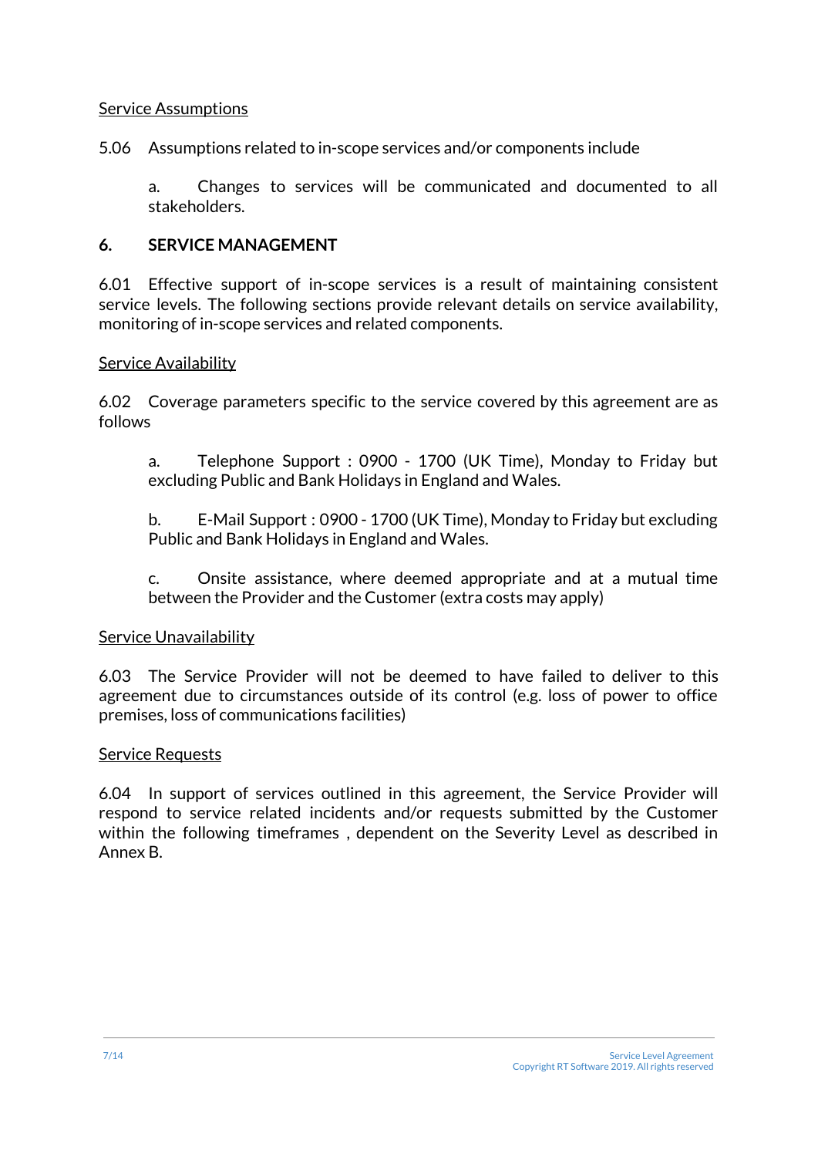#### Service Assumptions

5.06 Assumptions related to in-scope services and/or components include

a. Changes to services will be communicated and documented to all stakeholders.

#### **6. SERVICE MANAGEMENT**

6.01 Effective support of in-scope services is a result of maintaining consistent service levels. The following sections provide relevant details on service availability, monitoring of in-scope services and related components.

#### Service Availability

6.02 Coverage parameters specific to the service covered by this agreement are as follows

a. Telephone Support : 0900 - 1700 (UK Time), Monday to Friday but excluding Public and Bank Holidays in England and Wales.

b. E-Mail Support : 0900 - 1700 (UK Time), Monday to Friday but excluding Public and Bank Holidays in England and Wales.

c. Onsite assistance, where deemed appropriate and at a mutual time between the Provider and the Customer (extra costs may apply)

#### Service Unavailability

6.03 The Service Provider will not be deemed to have failed to deliver to this agreement due to circumstances outside of its control (e.g. loss of power to office premises, loss of communications facilities)

#### Service Requests

6.04 In support of services outlined in this agreement, the Service Provider will respond to service related incidents and/or requests submitted by the Customer within the following timeframes , dependent on the Severity Level as described in Annex B.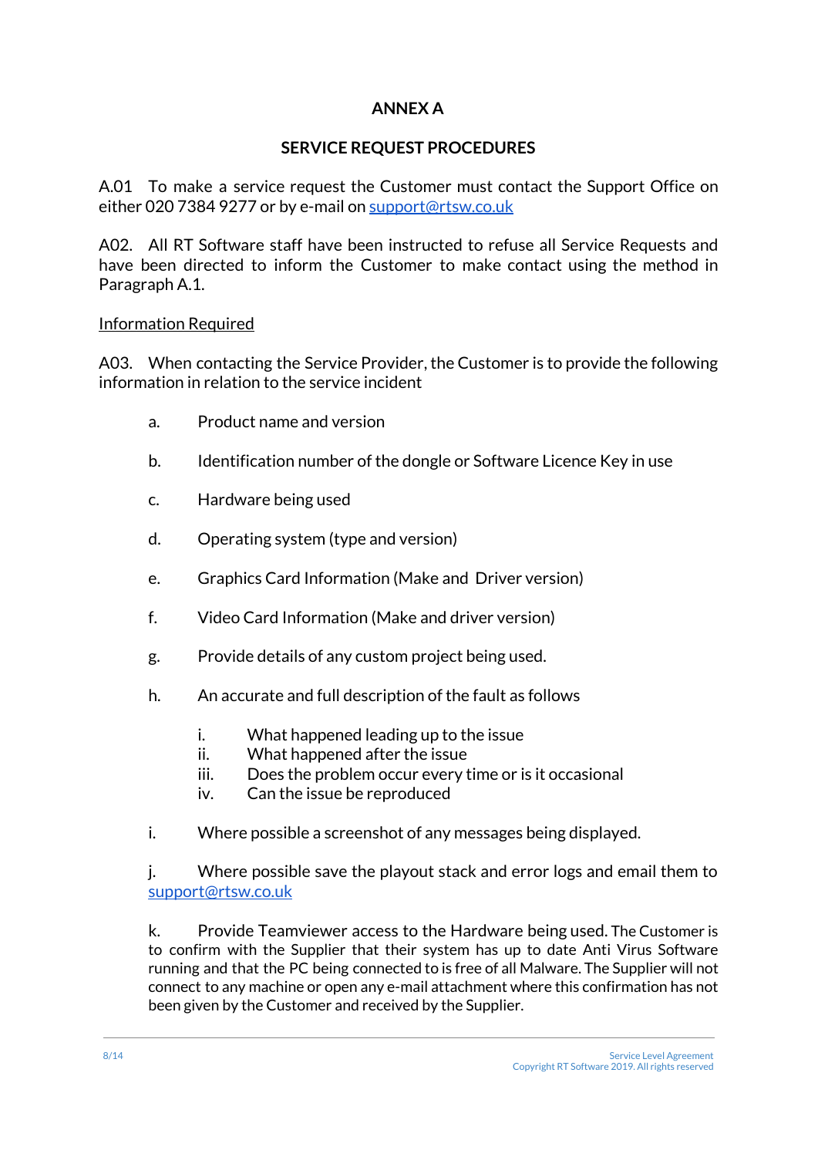#### **ANNEX A**

#### **SERVICE REQUEST PROCEDURES**

A.01 To make a service request the Customer must contact the Support Office on either 020 7384 9277 or by e-mail on [support@rtsw.co.uk](mailto:support@rtsw.co.uk)

A02. All RT Software staff have been instructed to refuse all Service Requests and have been directed to inform the Customer to make contact using the method in Paragraph A.1.

#### Information Required

A03. When contacting the Service Provider, the Customer is to provide the following information in relation to the service incident

- a. Product name and version
- b. Identification number of the dongle or Software Licence Key in use
- c. Hardware being used
- d. Operating system (type and version)
- e. Graphics Card Information (Make and Driver version)
- f. Video Card Information (Make and driver version)
- g. Provide details of any custom project being used.
- h. An accurate and full description of the fault as follows
	- i. What happened leading up to the issue
	- ii. What happened after the issue
	- iii. Does the problem occur every time or is it occasional
	- iv. Can the issue be reproduced
- i. Where possible a screenshot of any messages being displayed.

j. Where possible save the playout stack and error logs and email them to [support@rtsw.co.uk](mailto:support@rtsw.co.uk)

k. Provide Teamviewer access to the Hardware being used. The Customer is to confirm with the Supplier that their system has up to date Anti Virus Software running and that the PC being connected to is free of all Malware. The Supplier will not connect to any machine or open any e-mail attachment where this confirmation has not been given by the Customer and received by the Supplier.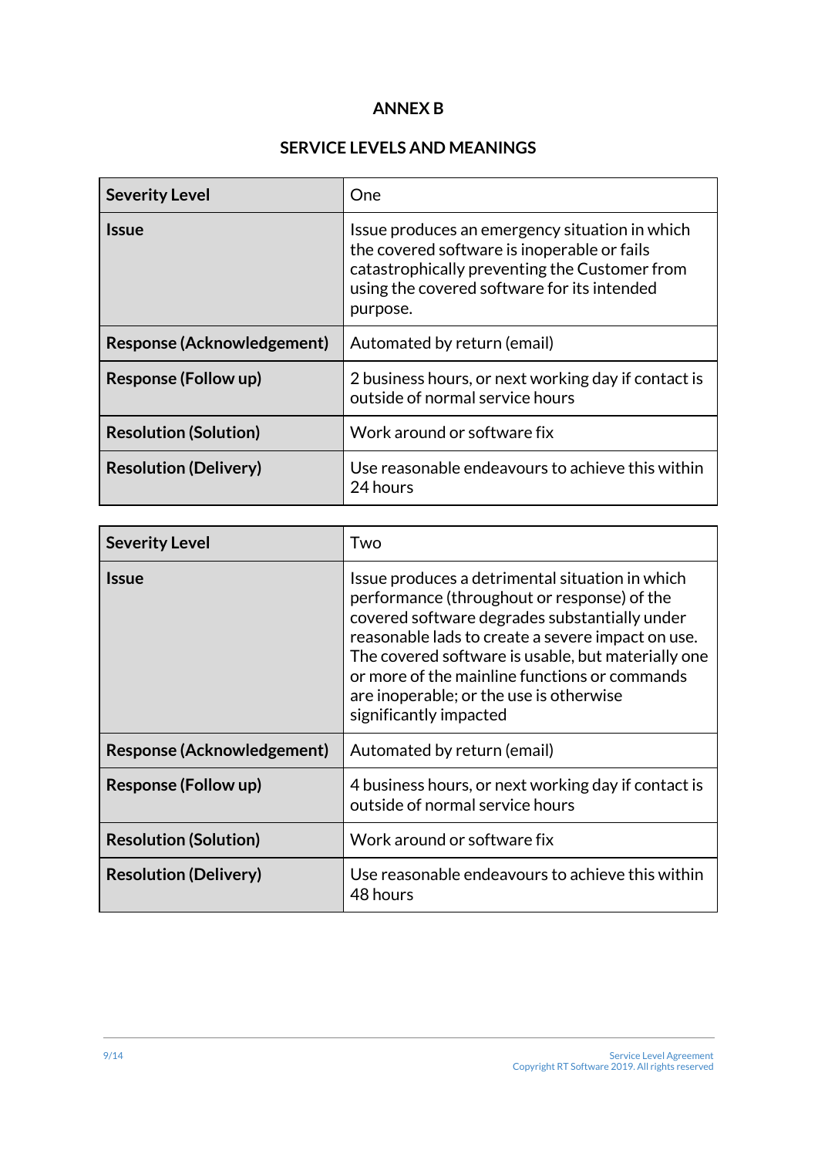#### **ANNEX B**

#### **SERVICE LEVELS AND MEANINGS**

| <b>Severity Level</b>        | One                                                                                                                                                                                                       |
|------------------------------|-----------------------------------------------------------------------------------------------------------------------------------------------------------------------------------------------------------|
| <b>Issue</b>                 | Issue produces an emergency situation in which<br>the covered software is inoperable or fails<br>catastrophically preventing the Customer from<br>using the covered software for its intended<br>purpose. |
| Response (Acknowledgement)   | Automated by return (email)                                                                                                                                                                               |
| <b>Response (Follow up)</b>  | 2 business hours, or next working day if contact is<br>outside of normal service hours                                                                                                                    |
| <b>Resolution (Solution)</b> | Work around or software fix                                                                                                                                                                               |
| <b>Resolution (Delivery)</b> | Use reasonable endeavours to achieve this within<br>24 hours                                                                                                                                              |

| <b>Severity Level</b>        | Two                                                                                                                                                                                                                                                                                                                                                                              |
|------------------------------|----------------------------------------------------------------------------------------------------------------------------------------------------------------------------------------------------------------------------------------------------------------------------------------------------------------------------------------------------------------------------------|
| <b>Issue</b>                 | Issue produces a detrimental situation in which<br>performance (throughout or response) of the<br>covered software degrades substantially under<br>reasonable lads to create a severe impact on use.<br>The covered software is usable, but materially one<br>or more of the mainline functions or commands<br>are inoperable; or the use is otherwise<br>significantly impacted |
| Response (Acknowledgement)   | Automated by return (email)                                                                                                                                                                                                                                                                                                                                                      |
| <b>Response (Follow up)</b>  | 4 business hours, or next working day if contact is<br>outside of normal service hours                                                                                                                                                                                                                                                                                           |
| <b>Resolution (Solution)</b> | Work around or software fix                                                                                                                                                                                                                                                                                                                                                      |
| <b>Resolution (Delivery)</b> | Use reasonable endeavours to achieve this within<br>48 hours                                                                                                                                                                                                                                                                                                                     |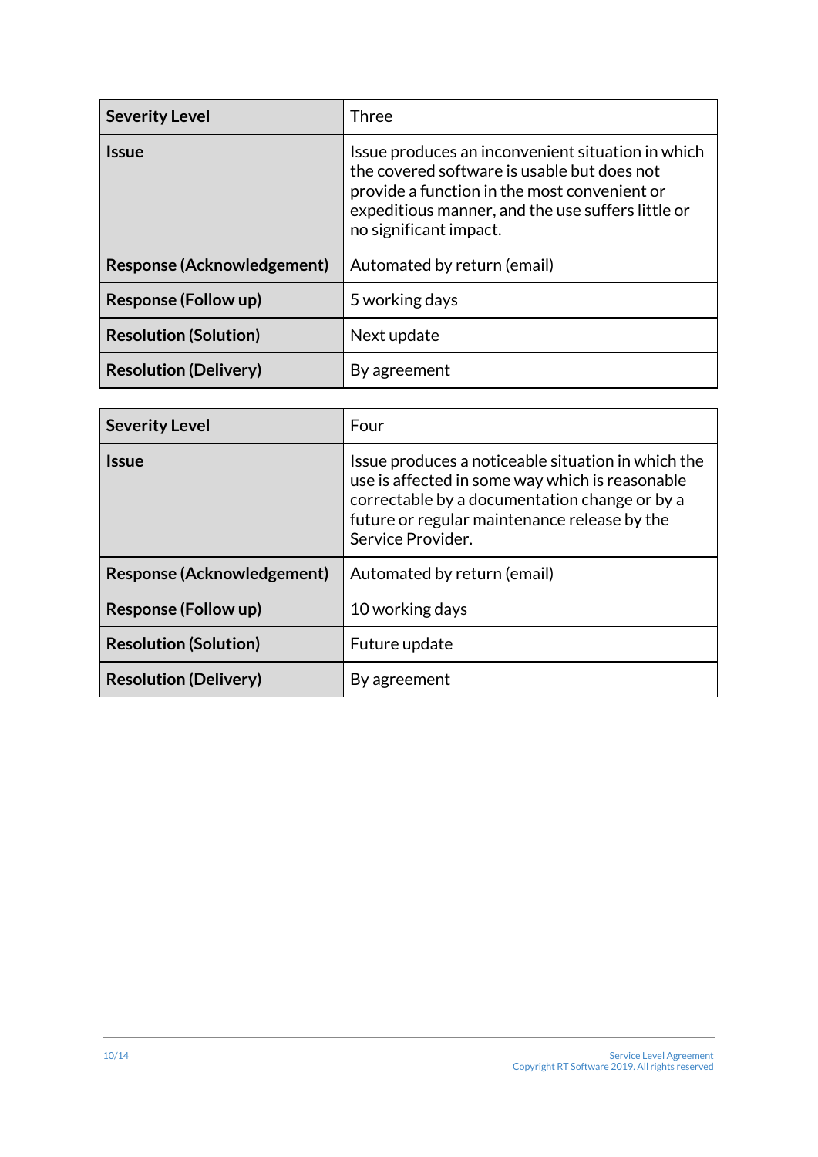| <b>Severity Level</b>             | Three                                                                                                                                                                                                                           |
|-----------------------------------|---------------------------------------------------------------------------------------------------------------------------------------------------------------------------------------------------------------------------------|
| <b>Issue</b>                      | Issue produces an inconvenient situation in which<br>the covered software is usable but does not<br>provide a function in the most convenient or<br>expeditious manner, and the use suffers little or<br>no significant impact. |
| <b>Response (Acknowledgement)</b> | Automated by return (email)                                                                                                                                                                                                     |
| <b>Response (Follow up)</b>       | 5 working days                                                                                                                                                                                                                  |
| <b>Resolution (Solution)</b>      | Next update                                                                                                                                                                                                                     |
| <b>Resolution (Delivery)</b>      | By agreement                                                                                                                                                                                                                    |

| <b>Severity Level</b>        | Four                                                                                                                                                                                                                        |
|------------------------------|-----------------------------------------------------------------------------------------------------------------------------------------------------------------------------------------------------------------------------|
| <b>Issue</b>                 | Issue produces a noticeable situation in which the<br>use is affected in some way which is reasonable<br>correctable by a documentation change or by a<br>future or regular maintenance release by the<br>Service Provider. |
| Response (Acknowledgement)   | Automated by return (email)                                                                                                                                                                                                 |
| <b>Response (Follow up)</b>  | 10 working days                                                                                                                                                                                                             |
| <b>Resolution (Solution)</b> | Future update                                                                                                                                                                                                               |
| <b>Resolution (Delivery)</b> | By agreement                                                                                                                                                                                                                |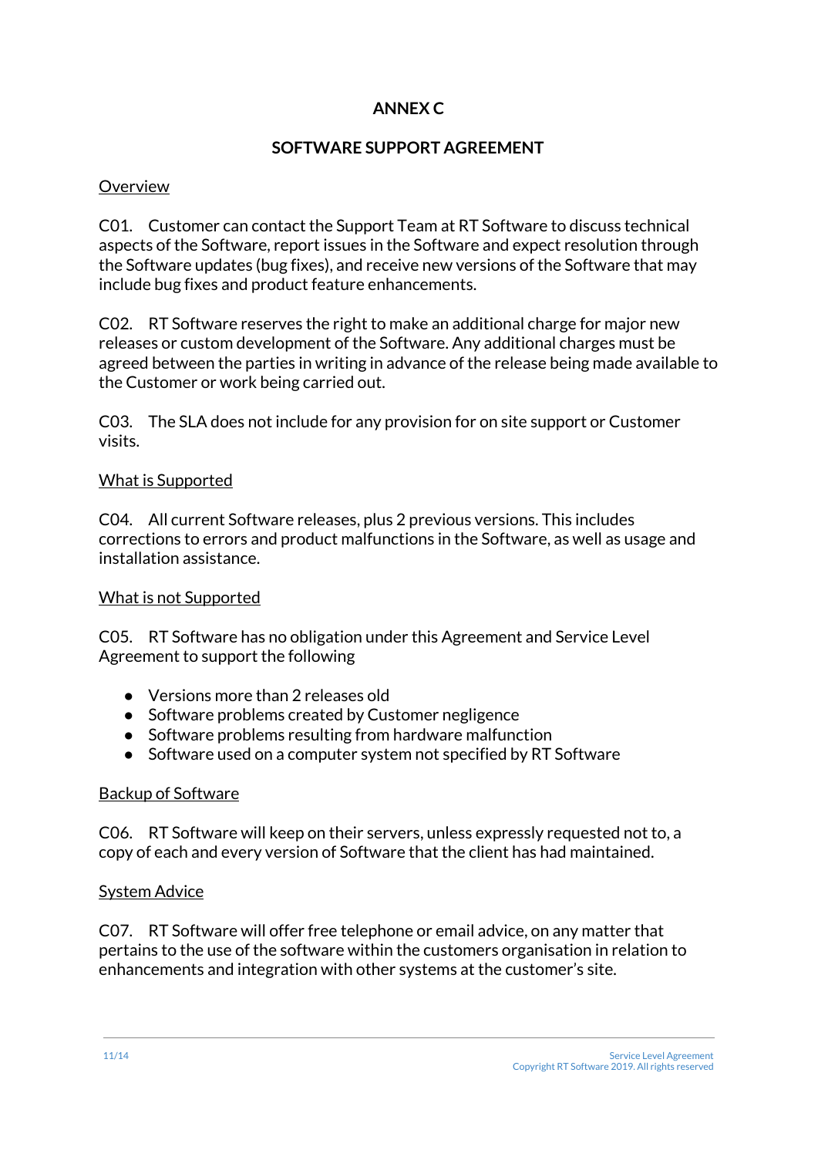#### **ANNEX C**

#### **SOFTWARE SUPPORT AGREEMENT**

#### **Overview**

C01. Customer can contact the Support Team at RT Software to discuss technical aspects of the Software, report issues in the Software and expect resolution through the Software updates (bug fixes), and receive new versions of the Software that may include bug fixes and product feature enhancements.

C02. RT Software reserves the right to make an additional charge for major new releases or custom development of the Software. Any additional charges must be agreed between the parties in writing in advance of the release being made available to the Customer or work being carried out.

C03. The SLA does not include for any provision for on site support or Customer visits.

#### What is Supported

C04. All current Software releases, plus 2 previous versions. This includes corrections to errors and product malfunctions in the Software, as well as usage and installation assistance.

#### What is not Supported

C05. RT Software has no obligation under this Agreement and Service Level Agreement to support the following

- Versions more than 2 releases old
- Software problems created by Customer negligence
- Software problems resulting from hardware malfunction
- Software used on a computer system not specified by RT Software

#### Backup of Software

C06. RT Software will keep on their servers, unless expressly requested not to, a copy of each and every version of Software that the client has had maintained.

#### System Advice

C07. RT Software will offer free telephone or email advice, on any matter that pertains to the use of the software within the customers organisation in relation to enhancements and integration with other systems at the customer's site.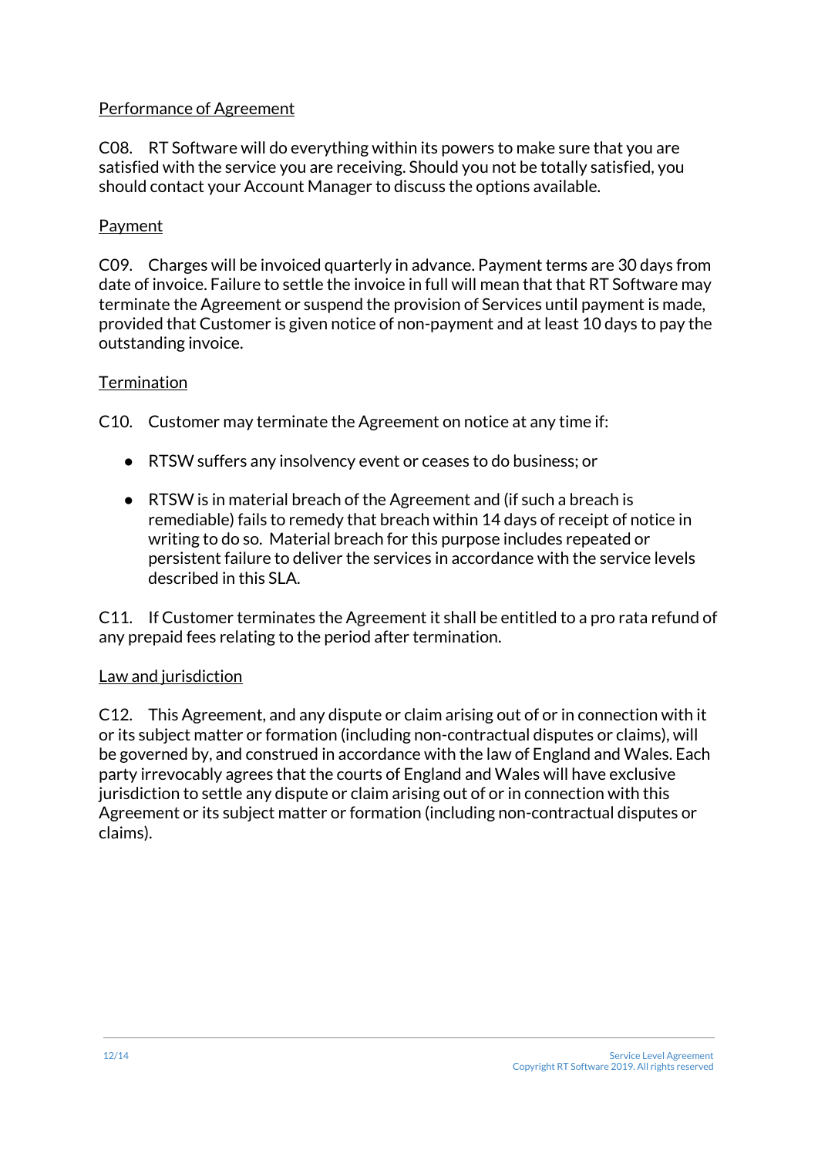#### Performance of Agreement

C08. RT Software will do everything within its powers to make sure that you are satisfied with the service you are receiving. Should you not be totally satisfied, you should contact your Account Manager to discuss the options available.

#### Payment

C09. Charges will be invoiced quarterly in advance. Payment terms are 30 days from date of invoice. Failure to settle the invoice in full will mean that that RT Software may terminate the Agreement or suspend the provision of Services until payment is made, provided that Customer is given notice of non-payment and at least 10 days to pay the outstanding invoice.

#### **Termination**

C10. Customer may terminate the Agreement on notice at any time if:

- RTSW suffers any insolvency event or ceases to do business; or
- RTSW is in material breach of the Agreement and (if such a breach is remediable) fails to remedy that breach within 14 days of receipt of notice in writing to do so. Material breach for this purpose includes repeated or persistent failure to deliver the services in accordance with the service levels described in this SLA.

C11. If Customer terminates the Agreement it shall be entitled to a pro rata refund of any prepaid fees relating to the period after termination.

#### Law and jurisdiction

C12. This Agreement, and any dispute or claim arising out of or in connection with it or its subject matter or formation (including non-contractual disputes or claims), will be governed by, and construed in accordance with the law of England and Wales. Each party irrevocably agrees that the courts of England and Wales will have exclusive jurisdiction to settle any dispute or claim arising out of or in connection with this Agreement or its subject matter or formation (including non-contractual disputes or claims).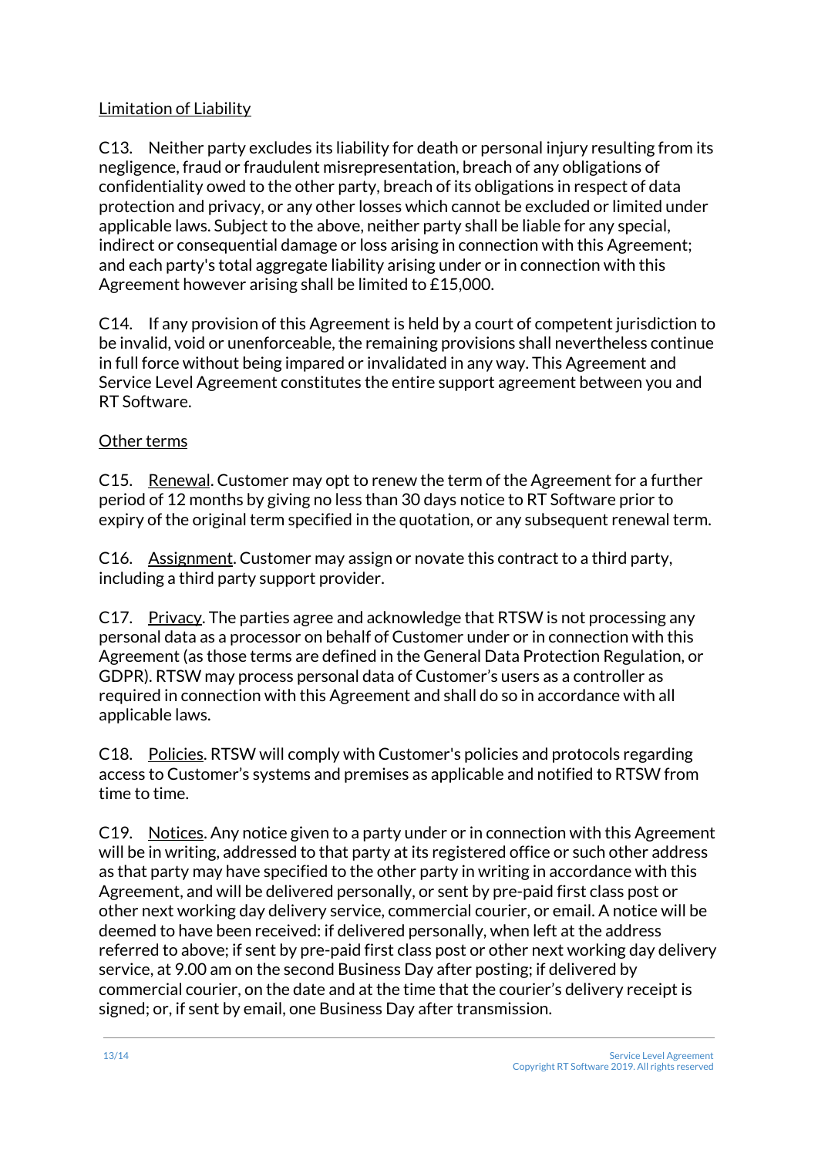#### Limitation of Liability

C13. Neither party excludes its liability for death or personal injury resulting from its negligence, fraud or fraudulent misrepresentation, breach of any obligations of confidentiality owed to the other party, breach of its obligations in respect of data protection and privacy, or any other losses which cannot be excluded or limited under applicable laws. Subject to the above, neither party shall be liable for any special, indirect or consequential damage or loss arising in connection with this Agreement; and each party's total aggregate liability arising under or in connection with this Agreement however arising shall be limited to £15,000.

C14. If any provision of this Agreement is held by a court of competent jurisdiction to be invalid, void or unenforceable, the remaining provisions shall nevertheless continue in full force without being impared or invalidated in any way. This Agreement and Service Level Agreement constitutes the entire support agreement between you and RT Software.

#### Other terms

C15. Renewal. Customer may opt to renew the term of the Agreement for a further period of 12 months by giving no less than 30 days notice to RT Software prior to expiry of the original term specified in the quotation, or any subsequent renewal term.

C16. Assignment. Customer may assign or novate this contract to a third party, including a third party support provider.

C17. Privacy. The parties agree and acknowledge that RTSW is not processing any personal data as a processor on behalf of Customer under or in connection with this Agreement (as those terms are defined in the General Data Protection Regulation, or GDPR). RTSW may process personal data of Customer's users as a controller as required in connection with this Agreement and shall do so in accordance with all applicable laws.

C18. Policies. RTSW will comply with Customer's policies and protocols regarding access to Customer's systems and premises as applicable and notified to RTSW from time to time.

C19. Notices. Any notice given to a party under or in connection with this Agreement will be in writing, addressed to that party at its registered office or such other address as that party may have specified to the other party in writing in accordance with this Agreement, and will be delivered personally, or sent by pre-paid first class post or other next working day delivery service, commercial courier, or email. A notice will be deemed to have been received: if delivered personally, when left at the address referred to above; if sent by pre-paid first class post or other next working day delivery service, at 9.00 am on the second Business Day after posting; if delivered by commercial courier, on the date and at the time that the courier's delivery receipt is signed; or, if sent by email, one Business Day after transmission.